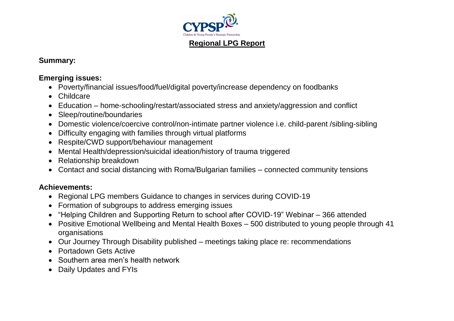

## **Summary:**

## **Emerging issues:**

- Poverty/financial issues/food/fuel/digital poverty/increase dependency on foodbanks
- Childcare
- Education home-schooling/restart/associated stress and anxiety/aggression and conflict
- Sleep/routine/boundaries
- Domestic violence/coercive control/non-intimate partner violence i.e. child-parent /sibling-sibling
- Difficulty engaging with families through virtual platforms
- Respite/CWD support/behaviour management
- Mental Health/depression/suicidal ideation/history of trauma triggered
- Relationship breakdown
- Contact and social distancing with Roma/Bulgarian families connected community tensions

## **Achievements:**

- Regional LPG members Guidance to changes in services during COVID-19
- Formation of subgroups to address emerging issues
- "Helping Children and Supporting Return to school after COVID-19" Webinar 366 attended
- Positive Emotional Wellbeing and Mental Health Boxes 500 distributed to young people through 41 organisations
- Our Journey Through Disability published meetings taking place re: recommendations
- Portadown Gets Active
- Southern area men's health network
- Daily Updates and FYIs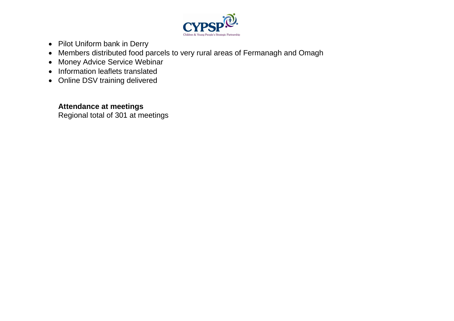

- Pilot Uniform bank in Derry
- Members distributed food parcels to very rural areas of Fermanagh and Omagh
- Money Advice Service Webinar
- Information leaflets translated
- Online DSV training delivered

## **Attendance at meetings**

Regional total of 301 at meetings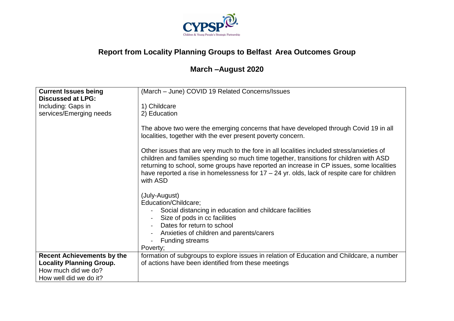

# **Report from Locality Planning Groups to Belfast Area Outcomes Group**

# **March –August 2020**

| <b>Current Issues being</b>       | (March - June) COVID 19 Related Concerns/Issues                                                                                                                                                                                                                                                                                                                                                 |
|-----------------------------------|-------------------------------------------------------------------------------------------------------------------------------------------------------------------------------------------------------------------------------------------------------------------------------------------------------------------------------------------------------------------------------------------------|
| <b>Discussed at LPG:</b>          |                                                                                                                                                                                                                                                                                                                                                                                                 |
| Including: Gaps in                | 1) Childcare                                                                                                                                                                                                                                                                                                                                                                                    |
| services/Emerging needs           | 2) Education                                                                                                                                                                                                                                                                                                                                                                                    |
|                                   |                                                                                                                                                                                                                                                                                                                                                                                                 |
|                                   | The above two were the emerging concerns that have developed through Covid 19 in all<br>localities, together with the ever present poverty concern.                                                                                                                                                                                                                                             |
|                                   | Other issues that are very much to the fore in all localities included stress/anxieties of<br>children and families spending so much time together, transitions for children with ASD<br>returning to school, some groups have reported an increase in CP issues, some localities<br>have reported a rise in homelessness for $17 - 24$ yr. olds, lack of respite care for children<br>with ASD |
|                                   | (July-August)                                                                                                                                                                                                                                                                                                                                                                                   |
|                                   | Education/Childcare;                                                                                                                                                                                                                                                                                                                                                                            |
|                                   | Social distancing in education and childcare facilities                                                                                                                                                                                                                                                                                                                                         |
|                                   | Size of pods in cc facilities<br>$\blacksquare$                                                                                                                                                                                                                                                                                                                                                 |
|                                   | Dates for return to school                                                                                                                                                                                                                                                                                                                                                                      |
|                                   | Anxieties of children and parents/carers                                                                                                                                                                                                                                                                                                                                                        |
|                                   | <b>Funding streams</b>                                                                                                                                                                                                                                                                                                                                                                          |
|                                   | Poverty;                                                                                                                                                                                                                                                                                                                                                                                        |
| <b>Recent Achievements by the</b> | formation of subgroups to explore issues in relation of Education and Childcare, a number                                                                                                                                                                                                                                                                                                       |
| <b>Locality Planning Group.</b>   | of actions have been identified from these meetings                                                                                                                                                                                                                                                                                                                                             |
| How much did we do?               |                                                                                                                                                                                                                                                                                                                                                                                                 |
| How well did we do it?            |                                                                                                                                                                                                                                                                                                                                                                                                 |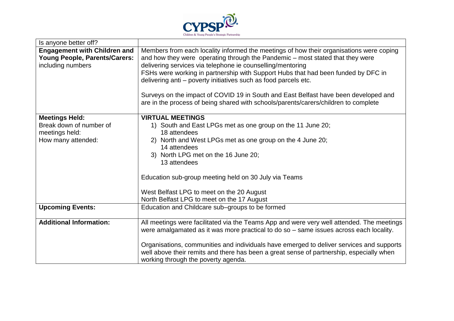

| Is anyone better off?                                                                     |                                                                                                                                                                                                                                                                                                                                                                                                                                                                                                                                                                              |
|-------------------------------------------------------------------------------------------|------------------------------------------------------------------------------------------------------------------------------------------------------------------------------------------------------------------------------------------------------------------------------------------------------------------------------------------------------------------------------------------------------------------------------------------------------------------------------------------------------------------------------------------------------------------------------|
| <b>Engagement with Children and</b><br>Young People, Parents/Carers:<br>including numbers | Members from each locality informed the meetings of how their organisations were coping<br>and how they were operating through the Pandemic – most stated that they were<br>delivering services via telephone ie counselling/mentoring<br>FSHs were working in partnership with Support Hubs that had been funded by DFC in<br>delivering anti – poverty initiatives such as food parcels etc.<br>Surveys on the impact of COVID 19 in South and East Belfast have been developed and<br>are in the process of being shared with schools/parents/carers/children to complete |
|                                                                                           | <b>VIRTUAL MEETINGS</b>                                                                                                                                                                                                                                                                                                                                                                                                                                                                                                                                                      |
| <b>Meetings Held:</b><br>Break down of number of<br>meetings held:<br>How many attended:  | 1) South and East LPGs met as one group on the 11 June 20;<br>18 attendees<br>2) North and West LPGs met as one group on the 4 June 20;<br>14 attendees<br>3) North LPG met on the 16 June 20;<br>13 attendees<br>Education sub-group meeting held on 30 July via Teams<br>West Belfast LPG to meet on the 20 August<br>North Belfast LPG to meet on the 17 August                                                                                                                                                                                                           |
| <b>Upcoming Events:</b>                                                                   | Education and Childcare sub-groups to be formed                                                                                                                                                                                                                                                                                                                                                                                                                                                                                                                              |
|                                                                                           |                                                                                                                                                                                                                                                                                                                                                                                                                                                                                                                                                                              |
| <b>Additional Information:</b>                                                            | All meetings were facilitated via the Teams App and were very well attended. The meetings<br>were amalgamated as it was more practical to do so – same issues across each locality.<br>Organisations, communities and individuals have emerged to deliver services and supports                                                                                                                                                                                                                                                                                              |
|                                                                                           | well above their remits and there has been a great sense of partnership, especially when<br>working through the poverty agenda.                                                                                                                                                                                                                                                                                                                                                                                                                                              |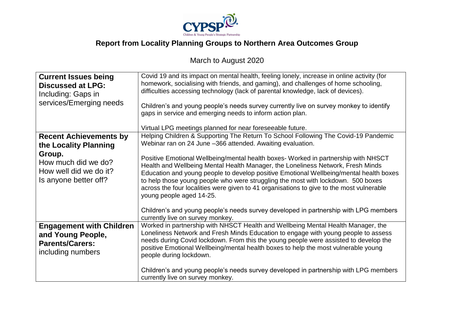

# **Report from Locality Planning Groups to Northern Area Outcomes Group**

# March to August 2020

| <b>Current Issues being</b><br><b>Discussed at LPG:</b><br>Including: Gaps in<br>services/Emerging needs                                   | Covid 19 and its impact on mental health, feeling lonely, increase in online activity (for<br>homework, socialising with friends, and gaming), and challenges of home schooling,<br>difficulties accessing technology (lack of parental knowledge, lack of devices).<br>Children's and young people's needs survey currently live on survey monkey to identify<br>gaps in service and emerging needs to inform action plan.<br>Virtual LPG meetings planned for near foreseeable future.                                                                                                                                                                                                                                |
|--------------------------------------------------------------------------------------------------------------------------------------------|-------------------------------------------------------------------------------------------------------------------------------------------------------------------------------------------------------------------------------------------------------------------------------------------------------------------------------------------------------------------------------------------------------------------------------------------------------------------------------------------------------------------------------------------------------------------------------------------------------------------------------------------------------------------------------------------------------------------------|
| <b>Recent Achievements by</b><br>the Locality Planning<br>Group.<br>How much did we do?<br>How well did we do it?<br>Is anyone better off? | Helping Children & Supporting The Return To School Following The Covid-19 Pandemic<br>Webinar ran on 24 June -366 attended. Awaiting evaluation.<br>Positive Emotional Wellbeing/mental health boxes- Worked in partnership with NHSCT<br>Health and Wellbeing Mental Health Manager, the Loneliness Network, Fresh Minds<br>Education and young people to develop positive Emotional Wellbeing/mental health boxes<br>to help those young people who were struggling the most with lockdown. 500 boxes<br>across the four localities were given to 41 organisations to give to the most vulnerable<br>young people aged 14-25.<br>Children's and young people's needs survey developed in partnership with LPG members |
| <b>Engagement with Children</b><br>and Young People,<br><b>Parents/Carers:</b><br>including numbers                                        | currently live on survey monkey.<br>Worked in partnership with NHSCT Health and Wellbeing Mental Health Manager, the<br>Loneliness Network and Fresh Minds Education to engage with young people to assess<br>needs during Covid lockdown. From this the young people were assisted to develop the<br>positive Emotional Wellbeing/mental health boxes to help the most vulnerable young<br>people during lockdown.<br>Children's and young people's needs survey developed in partnership with LPG members<br>currently live on survey monkey.                                                                                                                                                                         |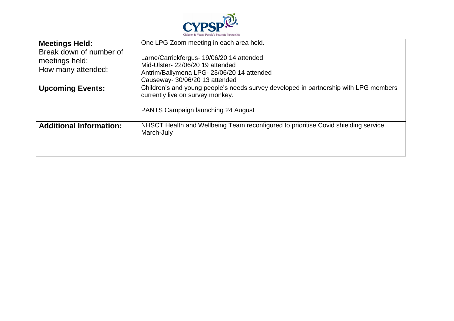

| <b>Meetings Held:</b><br>Break down of number of<br>meetings held:<br>How many attended: | One LPG Zoom meeting in each area held.<br>Larne/Carrickfergus- 19/06/20 14 attended<br>Mid-Ulster-22/06/20 19 attended<br>Antrim/Ballymena LPG-23/06/20 14 attended<br>Causeway- 30/06/20 13 attended |
|------------------------------------------------------------------------------------------|--------------------------------------------------------------------------------------------------------------------------------------------------------------------------------------------------------|
| <b>Upcoming Events:</b>                                                                  | Children's and young people's needs survey developed in partnership with LPG members<br>currently live on survey monkey.<br>PANTS Campaign launching 24 August                                         |
| <b>Additional Information:</b>                                                           | NHSCT Health and Wellbeing Team reconfigured to prioritise Covid shielding service<br>March-July                                                                                                       |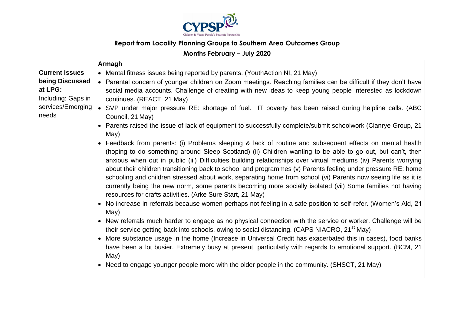

## **Report from Locality Planning Groups to Southern Area Outcomes Group**

## **Months February – July 2020**

|                                                                                | Armagh                                                                                                                                                                                                                                                                                                                                                                                                                                                                                                                                                                                                                                                                                                                                                                                                                                                                                                                                                                                                                                                                                                                                                                                                                                                                                                                                                                                                                                                                                                               |
|--------------------------------------------------------------------------------|----------------------------------------------------------------------------------------------------------------------------------------------------------------------------------------------------------------------------------------------------------------------------------------------------------------------------------------------------------------------------------------------------------------------------------------------------------------------------------------------------------------------------------------------------------------------------------------------------------------------------------------------------------------------------------------------------------------------------------------------------------------------------------------------------------------------------------------------------------------------------------------------------------------------------------------------------------------------------------------------------------------------------------------------------------------------------------------------------------------------------------------------------------------------------------------------------------------------------------------------------------------------------------------------------------------------------------------------------------------------------------------------------------------------------------------------------------------------------------------------------------------------|
| <b>Current Issues</b>                                                          | • Mental fitness issues being reported by parents. (YouthAction NI, 21 May)                                                                                                                                                                                                                                                                                                                                                                                                                                                                                                                                                                                                                                                                                                                                                                                                                                                                                                                                                                                                                                                                                                                                                                                                                                                                                                                                                                                                                                          |
| being Discussed<br>at LPG:<br>Including: Gaps in<br>services/Emerging<br>needs | • Parental concern of younger children on Zoom meetings. Reaching families can be difficult if they don't have<br>social media accounts. Challenge of creating with new ideas to keep young people interested as lockdown<br>continues. (REACT, 21 May)<br>• SVP under major pressure RE: shortage of fuel. IT poverty has been raised during helpline calls. (ABC<br>Council, 21 May)<br>• Parents raised the issue of lack of equipment to successfully complete/submit schoolwork (Clanrye Group, 21<br>May)<br>• Feedback from parents: (i) Problems sleeping & lack of routine and subsequent effects on mental health<br>(hoping to do something around Sleep Scotland) (ii) Children wanting to be able to go out, but can't, then<br>anxious when out in public (iii) Difficulties building relationships over virtual mediums (iv) Parents worrying<br>about their children transitioning back to school and programmes (v) Parents feeling under pressure RE: home<br>schooling and children stressed about work, separating home from school (vi) Parents now seeing life as it is<br>currently being the new norm, some parents becoming more socially isolated (vii) Some families not having<br>resources for crafts activities. (Arke Sure Start, 21 May)<br>• No increase in referrals because women perhaps not feeling in a safe position to self-refer. (Women's Aid, 21<br>May)<br>• New referrals much harder to engage as no physical connection with the service or worker. Challenge will be |
|                                                                                | their service getting back into schools, owing to social distancing. (CAPS NIACRO, 21 <sup>st</sup> May)                                                                                                                                                                                                                                                                                                                                                                                                                                                                                                                                                                                                                                                                                                                                                                                                                                                                                                                                                                                                                                                                                                                                                                                                                                                                                                                                                                                                             |
|                                                                                | More substance usage in the home (Increase in Universal Credit has exacerbated this in cases), food banks<br>have been a lot busier. Extremely busy at present, particularly with regards to emotional support. (BCM, 21<br>May)                                                                                                                                                                                                                                                                                                                                                                                                                                                                                                                                                                                                                                                                                                                                                                                                                                                                                                                                                                                                                                                                                                                                                                                                                                                                                     |
|                                                                                | • Need to engage younger people more with the older people in the community. (SHSCT, 21 May)                                                                                                                                                                                                                                                                                                                                                                                                                                                                                                                                                                                                                                                                                                                                                                                                                                                                                                                                                                                                                                                                                                                                                                                                                                                                                                                                                                                                                         |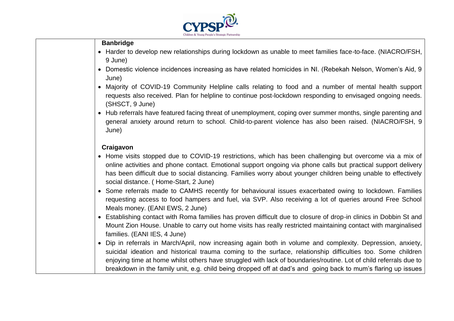

#### **Banbridge**

- Harder to develop new relationships during lockdown as unable to meet families face-to-face. (NIACRO/FSH, 9 June)
- Domestic violence incidences increasing as have related homicides in NI. (Rebekah Nelson, Women's Aid, 9 June)
- Majority of COVID-19 Community Helpline calls relating to food and a number of mental health support requests also received. Plan for helpline to continue post-lockdown responding to envisaged ongoing needs. (SHSCT, 9 June)
- Hub referrals have featured facing threat of unemployment, coping over summer months, single parenting and general anxiety around return to school. Child-to-parent violence has also been raised. (NIACRO/FSH, 9 June)

#### **Craigavon**

- Home visits stopped due to COVID-19 restrictions, which has been challenging but overcome via a mix of online activities and phone contact. Emotional support ongoing via phone calls but practical support delivery has been difficult due to social distancing. Families worry about younger children being unable to effectively social distance. ( Home-Start, 2 June)
- Some referrals made to CAMHS recently for behavioural issues exacerbated owing to lockdown. Families requesting access to food hampers and fuel, via SVP. Also receiving a lot of queries around Free School Meals money. (EANI EWS, 2 June)
- Establishing contact with Roma families has proven difficult due to closure of drop-in clinics in Dobbin St and Mount Zion House. Unable to carry out home visits has really restricted maintaining contact with marginalised families. (EANI IES, 4 June)
- Dip in referrals in March/April, now increasing again both in volume and complexity. Depression, anxiety, suicidal ideation and historical trauma coming to the surface, relationship difficulties too. Some children enjoying time at home whilst others have struggled with lack of boundaries/routine. Lot of child referrals due to breakdown in the family unit, e.g. child being dropped off at dad's and going back to mum's flaring up issues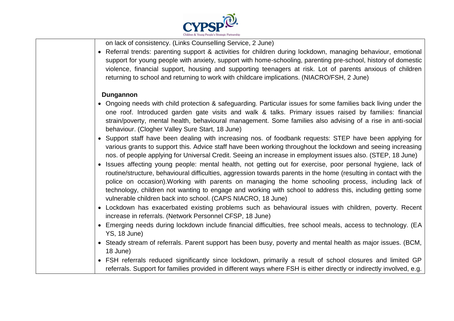

on lack of consistency. (Links Counselling Service, 2 June)

 Referral trends: parenting support & activities for children during lockdown, managing behaviour, emotional support for young people with anxiety, support with home-schooling, parenting pre-school, history of domestic violence, financial support, housing and supporting teenagers at risk. Lot of parents anxious of children returning to school and returning to work with childcare implications. (NIACRO/FSH, 2 June)

#### **Dungannon**

- Ongoing needs with child protection & safeguarding. Particular issues for some families back living under the one roof. Introduced garden gate visits and walk & talks. Primary issues raised by families: financial strain/poverty, mental health, behavioural management. Some families also advising of a rise in anti-social behaviour. (Clogher Valley Sure Start, 18 June)
- Support staff have been dealing with increasing nos. of foodbank requests: STEP have been applying for various grants to support this. Advice staff have been working throughout the lockdown and seeing increasing nos. of people applying for Universal Credit. Seeing an increase in employment issues also. (STEP, 18 June)
- Issues affecting young people: mental health, not getting out for exercise, poor personal hygiene, lack of routine/structure, behavioural difficulties, aggression towards parents in the home (resulting in contact with the police on occasion).Working with parents on managing the home schooling process, including lack of technology, children not wanting to engage and working with school to address this, including getting some vulnerable children back into school. (CAPS NIACRO, 18 June)
- Lockdown has exacerbated existing problems such as behavioural issues with children, poverty. Recent increase in referrals. (Network Personnel CFSP, 18 June)
- Emerging needs during lockdown include financial difficulties, free school meals, access to technology. (EA YS, 18 June)
- Steady stream of referrals. Parent support has been busy, poverty and mental health as major issues. (BCM, 18 June)
- FSH referrals reduced significantly since lockdown, primarily a result of school closures and limited GP referrals. Support for families provided in different ways where FSH is either directly or indirectly involved, e.g.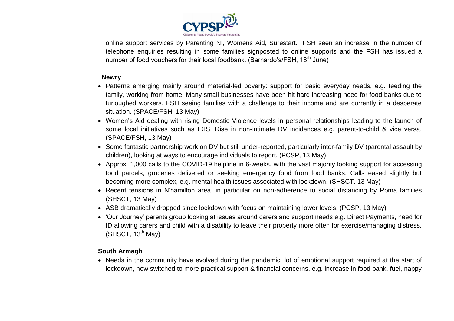

online support services by Parenting NI, Womens Aid, Surestart. FSH seen an increase in the number of telephone enquiries resulting in some families signposted to online supports and the FSH has issued a number of food vouchers for their local foodbank. (Barnardo's/FSH, 18<sup>th</sup> June)

#### **Newry**

- Patterns emerging mainly around material-led poverty: support for basic everyday needs, e.g. feeding the family, working from home. Many small businesses have been hit hard increasing need for food banks due to furloughed workers. FSH seeing families with a challenge to their income and are currently in a desperate situation. (SPACE/FSH, 13 May)
- Women's Aid dealing with rising Domestic Violence levels in personal relationships leading to the launch of some local initiatives such as IRIS. Rise in non-intimate DV incidences e.g. parent-to-child & vice versa. (SPACE/FSH, 13 May)
- Some fantastic partnership work on DV but still under-reported, particularly inter-family DV (parental assault by children), looking at ways to encourage individuals to report. (PCSP, 13 May)
- Approx. 1,000 calls to the COVID-19 helpline in 6-weeks, with the vast majority looking support for accessing food parcels, groceries delivered or seeking emergency food from food banks. Calls eased slightly but becoming more complex, e.g. mental health issues associated with lockdown. (SHSCT. 13 May)
- Recent tensions in N'hamilton area, in particular on non-adherence to social distancing by Roma families (SHSCT, 13 May)
- ASB dramatically dropped since lockdown with focus on maintaining lower levels. (PCSP, 13 May)
- 'Our Journey' parents group looking at issues around carers and support needs e.g. Direct Payments, need for ID allowing carers and child with a disability to leave their property more often for exercise/managing distress. (SHSCT,  $13^{th}$  May)

#### **South Armagh**

• Needs in the community have evolved during the pandemic: lot of emotional support required at the start of lockdown, now switched to more practical support & financial concerns, e.g. increase in food bank, fuel, nappy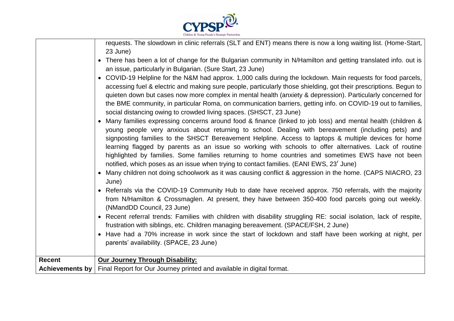

| 23 June)<br>• There has been a lot of change for the Bulgarian community in N/Hamilton and getting translated info. out is<br>an issue, particularly in Bulgarian. (Sure Start, 23 June)<br>• COVID-19 Helpline for the N&M had approx. 1,000 calls during the lockdown. Main requests for food parcels,<br>accessing fuel & electric and making sure people, particularly those shielding, got their prescriptions. Begun to<br>quieten down but cases now more complex in mental health (anxiety & depression). Particularly concerned for<br>the BME community, in particular Roma, on communication barriers, getting info. on COVID-19 out to families,<br>social distancing owing to crowded living spaces. (SHSCT, 23 June)<br>Many families expressing concerns around food & finance (linked to job loss) and mental health (children &<br>young people very anxious about returning to school. Dealing with bereavement (including pets) and<br>signposting families to the SHSCT Bereavement Helpline. Access to laptops & multiple devices for home<br>learning flagged by parents as an issue so working with schools to offer alternatives. Lack of routine<br>highlighted by families. Some families returning to home countries and sometimes EWS have not been<br>notified, which poses as an issue when trying to contact families. (EANI EWS, 23 <sup>'</sup> June)<br>• Many children not doing schoolwork as it was causing conflict & aggression in the home. (CAPS NIACRO, 23<br>June)<br>• Referrals via the COVID-19 Community Hub to date have received approx. 750 referrals, with the majority<br>from N/Hamilton & Crossmaglen. At present, they have between 350-400 food parcels going out weekly.<br>(NMandDD Council, 23 June)<br>• Recent referral trends: Families with children with disability struggling RE: social isolation, lack of respite,<br>frustration with siblings, etc. Children managing bereavement. (SPACE/FSH, 2 June)<br>• Have had a 70% increase in work since the start of lockdown and staff have been working at night, per<br>parents' availability. (SPACE, 23 June) |
|-----------------------------------------------------------------------------------------------------------------------------------------------------------------------------------------------------------------------------------------------------------------------------------------------------------------------------------------------------------------------------------------------------------------------------------------------------------------------------------------------------------------------------------------------------------------------------------------------------------------------------------------------------------------------------------------------------------------------------------------------------------------------------------------------------------------------------------------------------------------------------------------------------------------------------------------------------------------------------------------------------------------------------------------------------------------------------------------------------------------------------------------------------------------------------------------------------------------------------------------------------------------------------------------------------------------------------------------------------------------------------------------------------------------------------------------------------------------------------------------------------------------------------------------------------------------------------------------------------------------------------------------------------------------------------------------------------------------------------------------------------------------------------------------------------------------------------------------------------------------------------------------------------------------------------------------------------------------------------------------------------------------------------------------------------------------------------------------------------------------------------------|
| Our Journey Through Disability:<br><b>Recent</b><br>Achievements by   Final Report for Our Journey printed and available in digital format.                                                                                                                                                                                                                                                                                                                                                                                                                                                                                                                                                                                                                                                                                                                                                                                                                                                                                                                                                                                                                                                                                                                                                                                                                                                                                                                                                                                                                                                                                                                                                                                                                                                                                                                                                                                                                                                                                                                                                                                       |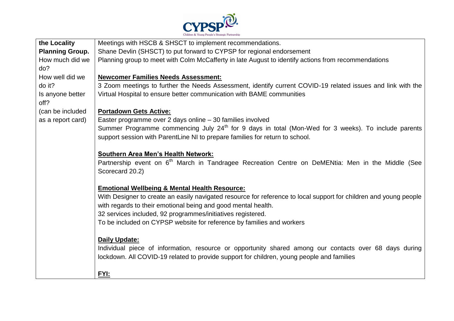

| the Locality           | Meetings with HSCB & SHSCT to implement recommendations.                                                          |
|------------------------|-------------------------------------------------------------------------------------------------------------------|
| <b>Planning Group.</b> | Shane Devlin (SHSCT) to put forward to CYPSP for regional endorsement                                             |
| How much did we        | Planning group to meet with Colm McCafferty in late August to identify actions from recommendations               |
| do?                    |                                                                                                                   |
| How well did we        | <b>Newcomer Families Needs Assessment:</b>                                                                        |
| do it?                 | 3 Zoom meetings to further the Needs Assessment, identify current COVID-19 related issues and link with the       |
| Is anyone better       | Virtual Hospital to ensure better communication with BAME communities                                             |
| off?                   |                                                                                                                   |
| (can be included       | <b>Portadown Gets Active:</b>                                                                                     |
| as a report card)      | Easter programme over 2 days online - 30 families involved                                                        |
|                        | Summer Programme commencing July 24 <sup>th</sup> for 9 days in total (Mon-Wed for 3 weeks). To include parents   |
|                        | support session with ParentLine NI to prepare families for return to school.                                      |
|                        |                                                                                                                   |
|                        | <b>Southern Area Men's Health Network:</b>                                                                        |
|                        | Partnership event on 6 <sup>th</sup> March in Tandragee Recreation Centre on DeMENtia: Men in the Middle (See     |
|                        | Scorecard 20.2)                                                                                                   |
|                        |                                                                                                                   |
|                        | <b>Emotional Wellbeing &amp; Mental Health Resource:</b>                                                          |
|                        | With Designer to create an easily navigated resource for reference to local support for children and young people |
|                        | with regards to their emotional being and good mental health.                                                     |
|                        | 32 services included, 92 programmes/initiatives registered.                                                       |
|                        | To be included on CYPSP website for reference by families and workers                                             |
|                        |                                                                                                                   |
|                        | <b>Daily Update:</b>                                                                                              |
|                        | Individual piece of information, resource or opportunity shared among our contacts over 68 days during            |
|                        | lockdown. All COVID-19 related to provide support for children, young people and families                         |
|                        |                                                                                                                   |
|                        | FYI:                                                                                                              |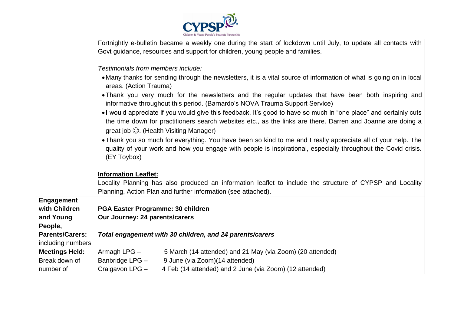

|                        | Fortnightly e-bulletin became a weekly one during the start of lockdown until July, to update all contacts with                                                                                                                                                                  |  |
|------------------------|----------------------------------------------------------------------------------------------------------------------------------------------------------------------------------------------------------------------------------------------------------------------------------|--|
|                        | Govt guidance, resources and support for children, young people and families.                                                                                                                                                                                                    |  |
|                        |                                                                                                                                                                                                                                                                                  |  |
|                        | Testimonials from members include:                                                                                                                                                                                                                                               |  |
|                        | • Many thanks for sending through the newsletters, it is a vital source of information of what is going on in local<br>areas. (Action Trauma)                                                                                                                                    |  |
|                        | • Thank you very much for the newsletters and the regular updates that have been both inspiring and<br>informative throughout this period. (Barnardo's NOVA Trauma Support Service)                                                                                              |  |
|                        | •I would appreciate if you would give this feedback. It's good to have so much in "one place" and certainly cuts<br>the time down for practitioners search websites etc., as the links are there. Darren and Joanne are doing a<br>great job $\odot$ . (Health Visiting Manager) |  |
|                        | . Thank you so much for everything. You have been so kind to me and I really appreciate all of your help. The<br>quality of your work and how you engage with people is inspirational, especially throughout the Covid crisis.<br>(EY Toybox)                                    |  |
|                        | <b>Information Leaflet:</b>                                                                                                                                                                                                                                                      |  |
|                        | Locality Planning has also produced an information leaflet to include the structure of CYPSP and Locality                                                                                                                                                                        |  |
|                        | Planning, Action Plan and further information (see attached).                                                                                                                                                                                                                    |  |
| <b>Engagement</b>      |                                                                                                                                                                                                                                                                                  |  |
| with Children          | PGA Easter Programme: 30 children                                                                                                                                                                                                                                                |  |
| and Young              | Our Journey: 24 parents/carers                                                                                                                                                                                                                                                   |  |
| People,                |                                                                                                                                                                                                                                                                                  |  |
| <b>Parents/Carers:</b> | Total engagement with 30 children, and 24 parents/carers                                                                                                                                                                                                                         |  |
| including numbers      |                                                                                                                                                                                                                                                                                  |  |
| <b>Meetings Held:</b>  | Armagh LPG -<br>5 March (14 attended) and 21 May (via Zoom) (20 attended)                                                                                                                                                                                                        |  |
| Break down of          | Banbridge LPG -<br>9 June (via Zoom)(14 attended)                                                                                                                                                                                                                                |  |
| number of              | Craigavon LPG -<br>4 Feb (14 attended) and 2 June (via Zoom) (12 attended)                                                                                                                                                                                                       |  |
|                        |                                                                                                                                                                                                                                                                                  |  |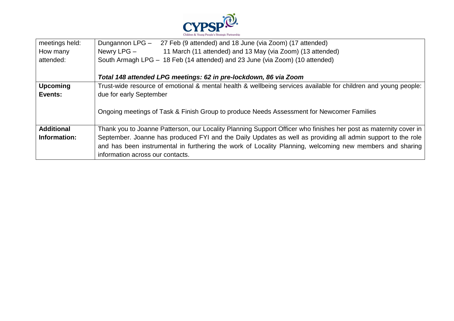

| meetings held:    | Dungannon LPG -<br>27 Feb (9 attended) and 18 June (via Zoom) (17 attended)                                      |
|-------------------|------------------------------------------------------------------------------------------------------------------|
| How many          | Newry LPG -<br>11 March (11 attended) and 13 May (via Zoom) (13 attended)                                        |
| attended:         | South Armagh LPG - 18 Feb (14 attended) and 23 June (via Zoom) (10 attended)                                     |
|                   |                                                                                                                  |
|                   | Total 148 attended LPG meetings: 62 in pre-lockdown, 86 via Zoom                                                 |
| <b>Upcoming</b>   | Trust-wide resource of emotional & mental health & wellbeing services available for children and young people:   |
| Events:           | due for early September                                                                                          |
|                   | Ongoing meetings of Task & Finish Group to produce Needs Assessment for Newcomer Families                        |
| <b>Additional</b> | Thank you to Joanne Patterson, our Locality Planning Support Officer who finishes her post as maternity cover in |
| Information:      | September. Joanne has produced FYI and the Daily Updates as well as providing all admin support to the role      |
|                   | and has been instrumental in furthering the work of Locality Planning, welcoming new members and sharing         |
|                   | information across our contacts.                                                                                 |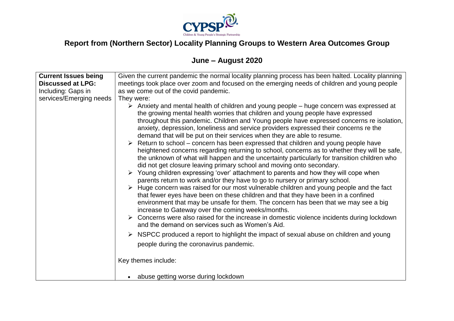

# **Report from (Northern Sector) Locality Planning Groups to Western Area Outcomes Group**

# **June – August 2020**

| <b>Current Issues being</b> | Given the current pandemic the normal locality planning process has been halted. Locality planning                                                                                                                                                                                                                                                                                                                                                                                                                                                                                                                                                                                                                                                                                                                                                                                                                                                                                                                                 |
|-----------------------------|------------------------------------------------------------------------------------------------------------------------------------------------------------------------------------------------------------------------------------------------------------------------------------------------------------------------------------------------------------------------------------------------------------------------------------------------------------------------------------------------------------------------------------------------------------------------------------------------------------------------------------------------------------------------------------------------------------------------------------------------------------------------------------------------------------------------------------------------------------------------------------------------------------------------------------------------------------------------------------------------------------------------------------|
| <b>Discussed at LPG:</b>    | meetings took place over zoom and focused on the emerging needs of children and young people                                                                                                                                                                                                                                                                                                                                                                                                                                                                                                                                                                                                                                                                                                                                                                                                                                                                                                                                       |
| Including: Gaps in          | as we come out of the covid pandemic.                                                                                                                                                                                                                                                                                                                                                                                                                                                                                                                                                                                                                                                                                                                                                                                                                                                                                                                                                                                              |
|                             |                                                                                                                                                                                                                                                                                                                                                                                                                                                                                                                                                                                                                                                                                                                                                                                                                                                                                                                                                                                                                                    |
| services/Emerging needs     | They were:<br>Anxiety and mental health of children and young people – huge concern was expressed at<br>➤<br>the growing mental health worries that children and young people have expressed<br>throughout this pandemic. Children and Young people have expressed concerns re isolation,<br>anxiety, depression, loneliness and service providers expressed their concerns re the<br>demand that will be put on their services when they are able to resume.<br>$\triangleright$ Return to school – concern has been expressed that children and young people have<br>heightened concerns regarding returning to school, concerns as to whether they will be safe,<br>the unknown of what will happen and the uncertainty particularly for transition children who<br>did not get closure leaving primary school and moving onto secondary.<br>$\triangleright$ Young children expressing 'over' attachment to parents and how they will cope when<br>parents return to work and/or they have to go to nursery or primary school. |
|                             | $\triangleright$ Huge concern was raised for our most vulnerable children and young people and the fact<br>that fewer eyes have been on these children and that they have been in a confined<br>environment that may be unsafe for them. The concern has been that we may see a big<br>increase to Gateway over the coming weeks/months.<br>$\triangleright$ Concerns were also raised for the increase in domestic violence incidents during lockdown<br>and the demand on services such as Women's Aid.                                                                                                                                                                                                                                                                                                                                                                                                                                                                                                                          |
|                             | $\triangleright$ NSPCC produced a report to highlight the impact of sexual abuse on children and young                                                                                                                                                                                                                                                                                                                                                                                                                                                                                                                                                                                                                                                                                                                                                                                                                                                                                                                             |
|                             | people during the coronavirus pandemic.                                                                                                                                                                                                                                                                                                                                                                                                                                                                                                                                                                                                                                                                                                                                                                                                                                                                                                                                                                                            |
|                             | Key themes include:                                                                                                                                                                                                                                                                                                                                                                                                                                                                                                                                                                                                                                                                                                                                                                                                                                                                                                                                                                                                                |
|                             | abuse getting worse during lockdown                                                                                                                                                                                                                                                                                                                                                                                                                                                                                                                                                                                                                                                                                                                                                                                                                                                                                                                                                                                                |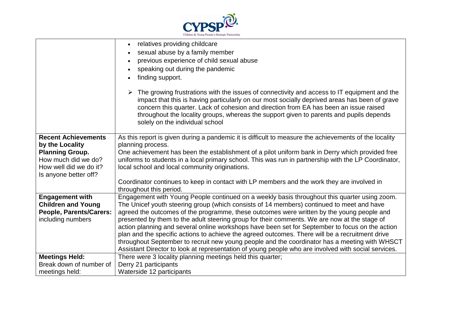

|                            | relatives providing childcare                                                                                                                                                                                                                                                                                                                                                                                       |
|----------------------------|---------------------------------------------------------------------------------------------------------------------------------------------------------------------------------------------------------------------------------------------------------------------------------------------------------------------------------------------------------------------------------------------------------------------|
|                            | sexual abuse by a family member                                                                                                                                                                                                                                                                                                                                                                                     |
|                            | previous experience of child sexual abuse                                                                                                                                                                                                                                                                                                                                                                           |
|                            | speaking out during the pandemic                                                                                                                                                                                                                                                                                                                                                                                    |
|                            | finding support.                                                                                                                                                                                                                                                                                                                                                                                                    |
|                            | The growing frustrations with the issues of connectivity and access to IT equipment and the<br>impact that this is having particularly on our most socially deprived areas has been of grave<br>concern this quarter. Lack of cohesion and direction from EA has been an issue raised<br>throughout the locality groups, whereas the support given to parents and pupils depends<br>solely on the individual school |
| <b>Recent Achievements</b> | As this report is given during a pandemic it is difficult to measure the achievements of the locality                                                                                                                                                                                                                                                                                                               |
| by the Locality            | planning process.                                                                                                                                                                                                                                                                                                                                                                                                   |
| <b>Planning Group.</b>     | One achievement has been the establishment of a pilot uniform bank in Derry which provided free                                                                                                                                                                                                                                                                                                                     |
| How much did we do?        | uniforms to students in a local primary school. This was run in partnership with the LP Coordinator,                                                                                                                                                                                                                                                                                                                |
| How well did we do it?     | local school and local community originations.                                                                                                                                                                                                                                                                                                                                                                      |
| Is anyone better off?      |                                                                                                                                                                                                                                                                                                                                                                                                                     |
|                            | Coordinator continues to keep in contact with LP members and the work they are involved in<br>throughout this period.                                                                                                                                                                                                                                                                                               |
| <b>Engagement with</b>     | Engagement with Young People continued on a weekly basis throughout this quarter using zoom.                                                                                                                                                                                                                                                                                                                        |
| <b>Children and Young</b>  | The Unicef youth steering group (which consists of 14 members) continued to meet and have                                                                                                                                                                                                                                                                                                                           |
| People, Parents/Carers:    | agreed the outcomes of the programme, these outcomes were written by the young people and                                                                                                                                                                                                                                                                                                                           |
| including numbers          | presented by them to the adult steering group for their comments. We are now at the stage of                                                                                                                                                                                                                                                                                                                        |
|                            | action planning and several online workshops have been set for September to focus on the action                                                                                                                                                                                                                                                                                                                     |
|                            | plan and the specific actions to achieve the agreed outcomes. There will be a recruitment drive                                                                                                                                                                                                                                                                                                                     |
|                            | throughout September to recruit new young people and the coordinator has a meeting with WHSCT                                                                                                                                                                                                                                                                                                                       |
|                            | Assistant Director to look at representation of young people who are involved with social services.                                                                                                                                                                                                                                                                                                                 |
| <b>Meetings Held:</b>      | There were 3 locality planning meetings held this quarter;                                                                                                                                                                                                                                                                                                                                                          |
| Break down of number of    | Derry 21 participants                                                                                                                                                                                                                                                                                                                                                                                               |
| meetings held:             | Waterside 12 participants                                                                                                                                                                                                                                                                                                                                                                                           |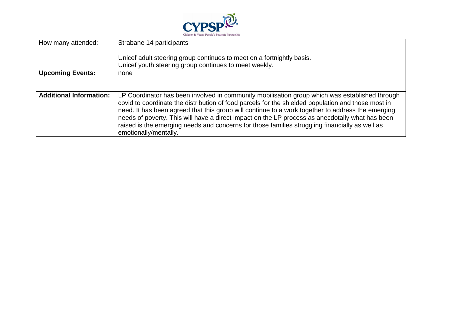

| How many attended:             | Strabane 14 participants                                                                                                                                                                                                                                                                                                                                                                                                                                                                                                                |
|--------------------------------|-----------------------------------------------------------------------------------------------------------------------------------------------------------------------------------------------------------------------------------------------------------------------------------------------------------------------------------------------------------------------------------------------------------------------------------------------------------------------------------------------------------------------------------------|
|                                | Unicef adult steering group continues to meet on a fortnightly basis.<br>Unicef youth steering group continues to meet weekly.                                                                                                                                                                                                                                                                                                                                                                                                          |
| <b>Upcoming Events:</b>        | none                                                                                                                                                                                                                                                                                                                                                                                                                                                                                                                                    |
| <b>Additional Information:</b> | LP Coordinator has been involved in community mobilisation group which was established through<br>covid to coordinate the distribution of food parcels for the shielded population and those most in<br>need. It has been agreed that this group will continue to a work together to address the emerging<br>needs of poverty. This will have a direct impact on the LP process as anecdotally what has been<br>raised is the emerging needs and concerns for those families struggling financially as well as<br>emotionally/mentally. |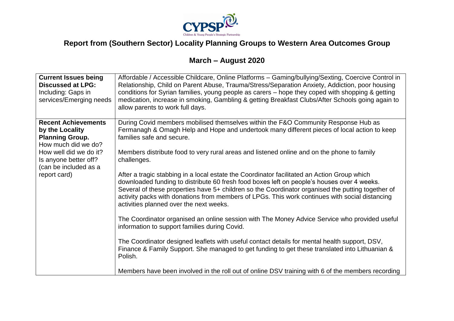

# **Report from (Southern Sector) Locality Planning Groups to Western Area Outcomes Group**

# **March – August 2020**

| <b>Current Issues being</b><br><b>Discussed at LPG:</b><br>Including: Gaps in<br>services/Emerging needs | Affordable / Accessible Childcare, Online Platforms - Gaming/bullying/Sexting, Coercive Control in<br>Relationship, Child on Parent Abuse, Trauma/Stress/Separation Anxiety, Addiction, poor housing<br>conditions for Syrian families, young people as carers – hope they coped with shopping & getting<br>medication, increase in smoking, Gambling & getting Breakfast Clubs/After Schools going again to<br>allow parents to work full days. |
|----------------------------------------------------------------------------------------------------------|--------------------------------------------------------------------------------------------------------------------------------------------------------------------------------------------------------------------------------------------------------------------------------------------------------------------------------------------------------------------------------------------------------------------------------------------------|
| <b>Recent Achievements</b>                                                                               | During Covid members mobilised themselves within the F&O Community Response Hub as                                                                                                                                                                                                                                                                                                                                                               |
| by the Locality                                                                                          | Fermanagh & Omagh Help and Hope and undertook many different pieces of local action to keep                                                                                                                                                                                                                                                                                                                                                      |
| <b>Planning Group.</b>                                                                                   | families safe and secure.                                                                                                                                                                                                                                                                                                                                                                                                                        |
| How much did we do?                                                                                      |                                                                                                                                                                                                                                                                                                                                                                                                                                                  |
| How well did we do it?                                                                                   | Members distribute food to very rural areas and listened online and on the phone to family                                                                                                                                                                                                                                                                                                                                                       |
| Is anyone better off?<br>(can be included as a                                                           | challenges.                                                                                                                                                                                                                                                                                                                                                                                                                                      |
| report card)                                                                                             | After a tragic stabbing in a local estate the Coordinator facilitated an Action Group which<br>downloaded funding to distribute 60 fresh food boxes left on people's houses over 4 weeks.<br>Several of these properties have 5+ children so the Coordinator organised the putting together of<br>activity packs with donations from members of LPGs. This work continues with social distancing<br>activities planned over the next weeks.      |
|                                                                                                          | The Coordinator organised an online session with The Money Advice Service who provided useful<br>information to support families during Covid.                                                                                                                                                                                                                                                                                                   |
|                                                                                                          | The Coordinator designed leaflets with useful contact details for mental health support, DSV,<br>Finance & Family Support. She managed to get funding to get these translated into Lithuanian &<br>Polish.                                                                                                                                                                                                                                       |
|                                                                                                          | Members have been involved in the roll out of online DSV training with 6 of the members recording                                                                                                                                                                                                                                                                                                                                                |